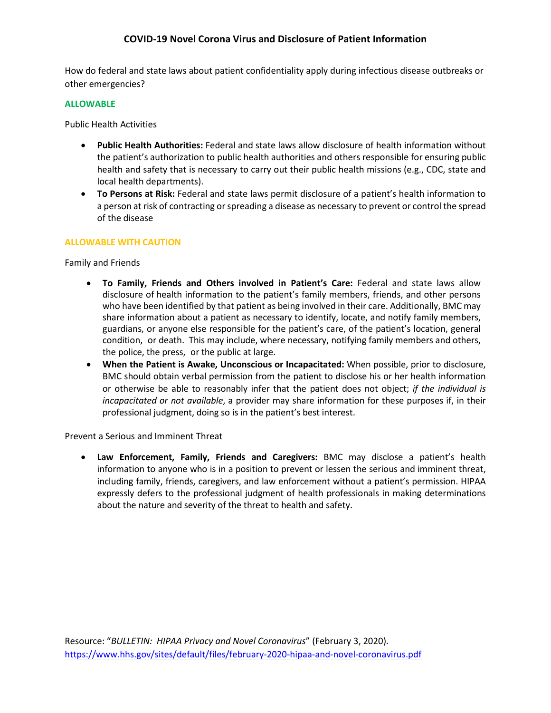# **COVID-19 Novel Corona Virus and Disclosure of Patient Information**

How do federal and state laws about patient confidentiality apply during infectious disease outbreaks or other emergencies?

### **ALLOWABLE**

Public Health Activities

- **Public Health Authorities:** Federal and state laws allow disclosure of health information without the patient's authorization to public health authorities and others responsible for ensuring public health and safety that is necessary to carry out their public health missions (e.g., CDC, state and local health departments).
- **To Persons at Risk:** Federal and state laws permit disclosure of a patient's health information to a person at risk of contracting or spreading a disease as necessary to prevent or control the spread of the disease

## **ALLOWABLE WITH CAUTION**

Family and Friends

- **To Family, Friends and Others involved in Patient's Care:** Federal and state laws allow disclosure of health information to the patient's family members, friends, and other persons who have been identified by that patient as being involved in their care. Additionally, BMC may share information about a patient as necessary to identify, locate, and notify family members, guardians, or anyone else responsible for the patient's care, of the patient's location, general condition, or death. This may include, where necessary, notifying family members and others, the police, the press, or the public at large.
- **When the Patient is Awake, Unconscious or Incapacitated:** When possible, prior to disclosure, BMC should obtain verbal permission from the patient to disclose his or her health information or otherwise be able to reasonably infer that the patient does not object; *if the individual is incapacitated or not available*, a provider may share information for these purposes if, in their professional judgment, doing so is in the patient's best interest.

Prevent a Serious and Imminent Threat

• **Law Enforcement, Family, Friends and Caregivers:** BMC may disclose a patient's health information to anyone who is in a position to prevent or lessen the serious and imminent threat, including family, friends, caregivers, and law enforcement without a patient's permission. HIPAA expressly defers to the professional judgment of health professionals in making determinations about the nature and severity of the threat to health and safety.